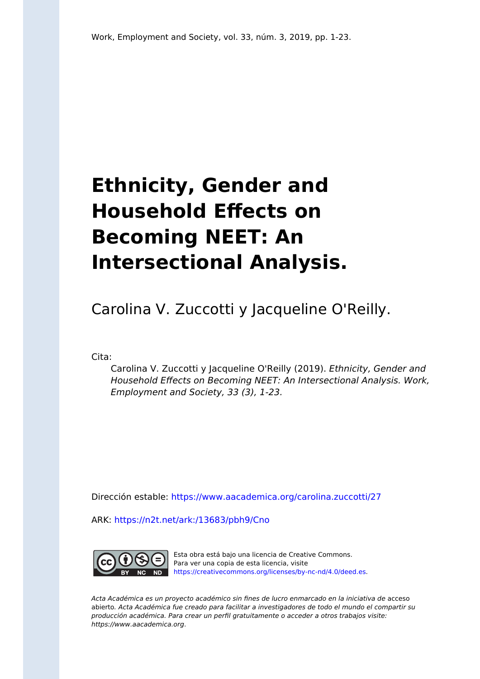# **Ethnicity, Gender and Household Effects on Becoming NEET: An Intersectional Analysis.**

Carolina V. Zuccotti y Jacqueline O'Reilly.

Cita:

Carolina V. Zuccotti y Jacqueline O'Reilly (2019). Ethnicity, Gender and Household Effects on Becoming NEET: An Intersectional Analysis. Work, Employment and Society, 33 (3), 1-23.

Dirección estable:<https://www.aacademica.org/carolina.zuccotti/27>

ARK: <https://n2t.net/ark:/13683/pbh9/Cno>



Esta obra está bajo una licencia de Creative Commons. Para ver una copia de esta licencia, visite [https://creativecommons.org/licenses/by-nc-nd/4.0/deed.es.](https://creativecommons.org/licenses/by-nc-nd/4.0/deed.es)

Acta Académica es un proyecto académico sin fines de lucro enmarcado en la iniciativa de acceso abierto. Acta Académica fue creado para facilitar a investigadores de todo el mundo el compartir su producción académica. Para crear un perfil gratuitamente o acceder a otros trabajos visite: https://www.aacademica.org.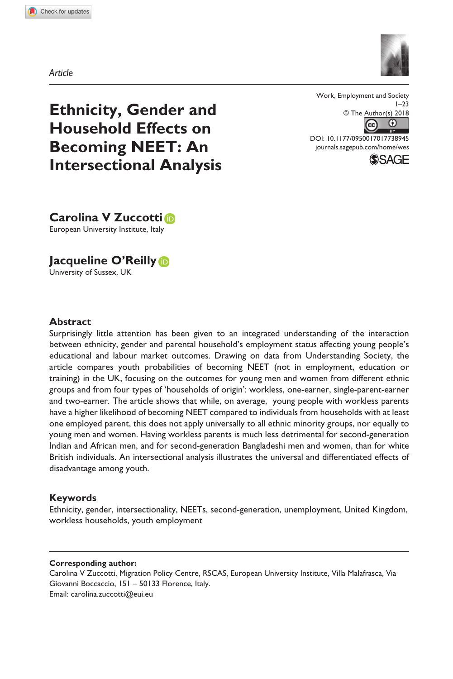**7389[45](http://crossmark.crossref.org/dialog/?doi=10.1177%2F0950017017738945&domain=pdf&date_stamp=2018-01-16)** WES0010.1177/0950017017738945Work, employment and society**Zuccotti and O'Reilly**



*Article*

**Ethnicity, Gender and Household Effects on Becoming NEET: An Intersectional Analysis** Work, Employment and Society  $1 - 23$ © The Author(s) 2018  $(c<sub>c</sub>)$ œ

https://doi.org/10.1177/0950017017738945 DOI: 10.1177/0950017017738945 [journals.sagepub.com/home/wes](https://journals.sagepub.com/home/wes)



**Carolina V Zuccotti** European University Institute, Italy

**Jacqueline O'Reilly** University of Sussex, UK

## **Abstract**

Surprisingly little attention has been given to an integrated understanding of the interaction between ethnicity, gender and parental household's employment status affecting young people's educational and labour market outcomes. Drawing on data from Understanding Society, the article compares youth probabilities of becoming NEET (not in employment, education or training) in the UK, focusing on the outcomes for young men and women from different ethnic groups and from four types of 'households of origin': workless, one-earner, single-parent-earner and two-earner. The article shows that while, on average, young people with workless parents have a higher likelihood of becoming NEET compared to individuals from households with at least one employed parent, this does not apply universally to all ethnic minority groups, nor equally to young men and women. Having workless parents is much less detrimental for second-generation Indian and African men, and for second-generation Bangladeshi men and women, than for white British individuals. An intersectional analysis illustrates the universal and differentiated effects of disadvantage among youth.

## **Keywords**

Ethnicity, gender, intersectionality, NEETs, second-generation, unemployment, United Kingdom, workless households, youth employment

#### **Corresponding author:**

Carolina V Zuccotti, Migration Policy Centre, RSCAS, European University Institute, Villa Malafrasca, Via Giovanni Boccaccio, 151 – 50133 Florence, Italy. Email: [carolina.zuccotti@eui.eu](mailto:carolina.zuccotti@eui.eu)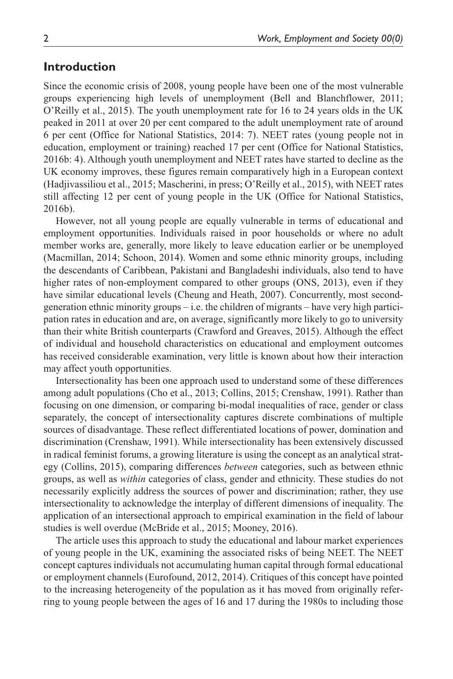## **Introduction**

Since the economic crisis of 2008, young people have been one of the most vulnerable groups experiencing high levels of unemployment (Bell and Blanchflower, 2011; O'Reilly et al., 2015). The youth unemployment rate for 16 to 24 years olds in the UK peaked in 2011 at over 20 per cent compared to the adult unemployment rate of around 6 per cent (Office for National Statistics, 2014: 7). NEET rates (young people not in education, employment or training) reached 17 per cent (Office for National Statistics, 2016b: 4). Although youth unemployment and NEET rates have started to decline as the UK economy improves, these figures remain comparatively high in a European context (Hadjivassiliou et al., 2015; Mascherini, in press; O'Reilly et al., 2015), with NEET rates still affecting 12 per cent of young people in the UK (Office for National Statistics, 2016b).

However, not all young people are equally vulnerable in terms of educational and employment opportunities. Individuals raised in poor households or where no adult member works are, generally, more likely to leave education earlier or be unemployed (Macmillan, 2014; Schoon, 2014). Women and some ethnic minority groups, including the descendants of Caribbean, Pakistani and Bangladeshi individuals, also tend to have higher rates of non-employment compared to other groups (ONS, 2013), even if they have similar educational levels (Cheung and Heath, 2007). Concurrently, most secondgeneration ethnic minority groups – i.e. the children of migrants – have very high participation rates in education and are, on average, significantly more likely to go to university than their white British counterparts (Crawford and Greaves, 2015). Although the effect of individual and household characteristics on educational and employment outcomes has received considerable examination, very little is known about how their interaction may affect youth opportunities.

Intersectionality has been one approach used to understand some of these differences among adult populations (Cho et al., 2013; Collins, 2015; Crenshaw, 1991). Rather than focusing on one dimension, or comparing bi-modal inequalities of race, gender or class separately, the concept of intersectionality captures discrete combinations of multiple sources of disadvantage. These reflect differentiated locations of power, domination and discrimination (Crenshaw, 1991). While intersectionality has been extensively discussed in radical feminist forums, a growing literature is using the concept as an analytical strategy (Collins, 2015), comparing differences *between* categories, such as between ethnic groups, as well as *within* categories of class, gender and ethnicity. These studies do not necessarily explicitly address the sources of power and discrimination; rather, they use intersectionality to acknowledge the interplay of different dimensions of inequality. The application of an intersectional approach to empirical examination in the field of labour studies is well overdue (McBride et al., 2015; Mooney, 2016).

The article uses this approach to study the educational and labour market experiences of young people in the UK, examining the associated risks of being NEET. The NEET concept captures individuals not accumulating human capital through formal educational or employment channels (Eurofound, 2012, 2014). Critiques of this concept have pointed to the increasing heterogeneity of the population as it has moved from originally referring to young people between the ages of 16 and 17 during the 1980s to including those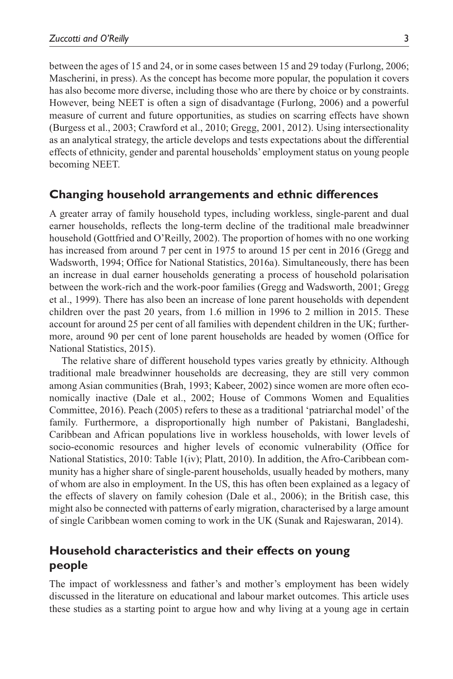between the ages of 15 and 24, or in some cases between 15 and 29 today (Furlong, 2006; Mascherini, in press). As the concept has become more popular, the population it covers has also become more diverse, including those who are there by choice or by constraints. However, being NEET is often a sign of disadvantage (Furlong, 2006) and a powerful measure of current and future opportunities, as studies on scarring effects have shown (Burgess et al., 2003; Crawford et al., 2010; Gregg, 2001, 2012). Using intersectionality as an analytical strategy, the article develops and tests expectations about the differential effects of ethnicity, gender and parental households' employment status on young people becoming NEET.

## **Changing household arrangements and ethnic differences**

A greater array of family household types, including workless, single-parent and dual earner households, reflects the long-term decline of the traditional male breadwinner household (Gottfried and O'Reilly, 2002). The proportion of homes with no one working has increased from around 7 per cent in 1975 to around 15 per cent in 2016 (Gregg and Wadsworth, 1994; Office for National Statistics, 2016a). Simultaneously, there has been an increase in dual earner households generating a process of household polarisation between the work-rich and the work-poor families (Gregg and Wadsworth, 2001; Gregg et al., 1999). There has also been an increase of lone parent households with dependent children over the past 20 years, from 1.6 million in 1996 to 2 million in 2015. These account for around 25 per cent of all families with dependent children in the UK; furthermore, around 90 per cent of lone parent households are headed by women (Office for National Statistics, 2015).

The relative share of different household types varies greatly by ethnicity. Although traditional male breadwinner households are decreasing, they are still very common among Asian communities (Brah, 1993; Kabeer, 2002) since women are more often economically inactive (Dale et al., 2002; House of Commons Women and Equalities Committee, 2016). Peach (2005) refers to these as a traditional 'patriarchal model' of the family. Furthermore, a disproportionally high number of Pakistani, Bangladeshi, Caribbean and African populations live in workless households, with lower levels of socio-economic resources and higher levels of economic vulnerability (Office for National Statistics, 2010: Table 1(iv); Platt, 2010). In addition, the Afro-Caribbean community has a higher share of single-parent households, usually headed by mothers, many of whom are also in employment. In the US, this has often been explained as a legacy of the effects of slavery on family cohesion (Dale et al., 2006); in the British case, this might also be connected with patterns of early migration, characterised by a large amount of single Caribbean women coming to work in the UK (Sunak and Rajeswaran, 2014).

## **Household characteristics and their effects on young people**

The impact of worklessness and father's and mother's employment has been widely discussed in the literature on educational and labour market outcomes. This article uses these studies as a starting point to argue how and why living at a young age in certain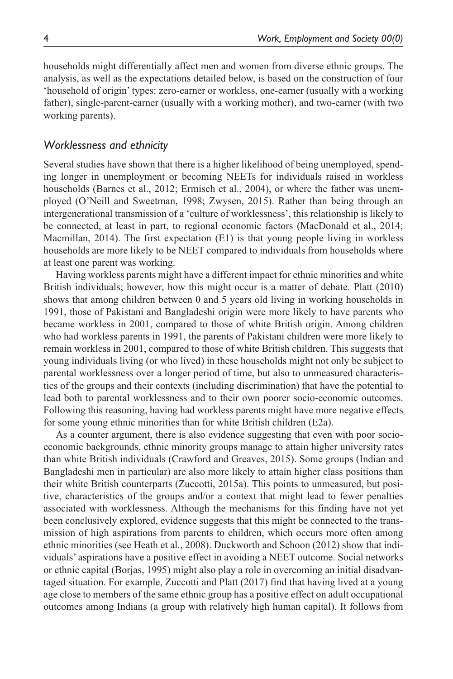households might differentially affect men and women from diverse ethnic groups. The analysis, as well as the expectations detailed below, is based on the construction of four 'household of origin' types: zero-earner or workless, one-earner (usually with a working father), single-parent-earner (usually with a working mother), and two-earner (with two working parents).

## *Worklessness and ethnicity*

Several studies have shown that there is a higher likelihood of being unemployed, spending longer in unemployment or becoming NEETs for individuals raised in workless households (Barnes et al., 2012; Ermisch et al., 2004), or where the father was unemployed (O'Neill and Sweetman, 1998; Zwysen, 2015). Rather than being through an intergenerational transmission of a 'culture of worklessness', this relationship is likely to be connected, at least in part, to regional economic factors (MacDonald et al., 2014; Macmillan, 2014). The first expectation (E1) is that young people living in workless households are more likely to be NEET compared to individuals from households where at least one parent was working.

Having workless parents might have a different impact for ethnic minorities and white British individuals; however, how this might occur is a matter of debate. Platt (2010) shows that among children between 0 and 5 years old living in working households in 1991, those of Pakistani and Bangladeshi origin were more likely to have parents who became workless in 2001, compared to those of white British origin. Among children who had workless parents in 1991, the parents of Pakistani children were more likely to remain workless in 2001, compared to those of white British children. This suggests that young individuals living (or who lived) in these households might not only be subject to parental worklessness over a longer period of time, but also to unmeasured characteristics of the groups and their contexts (including discrimination) that have the potential to lead both to parental worklessness and to their own poorer socio-economic outcomes. Following this reasoning, having had workless parents might have more negative effects for some young ethnic minorities than for white British children (E2a).

As a counter argument, there is also evidence suggesting that even with poor socioeconomic backgrounds, ethnic minority groups manage to attain higher university rates than white British individuals (Crawford and Greaves, 2015). Some groups (Indian and Bangladeshi men in particular) are also more likely to attain higher class positions than their white British counterparts (Zuccotti, 2015a). This points to unmeasured, but positive, characteristics of the groups and/or a context that might lead to fewer penalties associated with worklessness. Although the mechanisms for this finding have not yet been conclusively explored, evidence suggests that this might be connected to the transmission of high aspirations from parents to children, which occurs more often among ethnic minorities (see Heath et al., 2008). Duckworth and Schoon (2012) show that individuals' aspirations have a positive effect in avoiding a NEET outcome. Social networks or ethnic capital (Borjas, 1995) might also play a role in overcoming an initial disadvantaged situation. For example, Zuccotti and Platt (2017) find that having lived at a young age close to members of the same ethnic group has a positive effect on adult occupational outcomes among Indians (a group with relatively high human capital). It follows from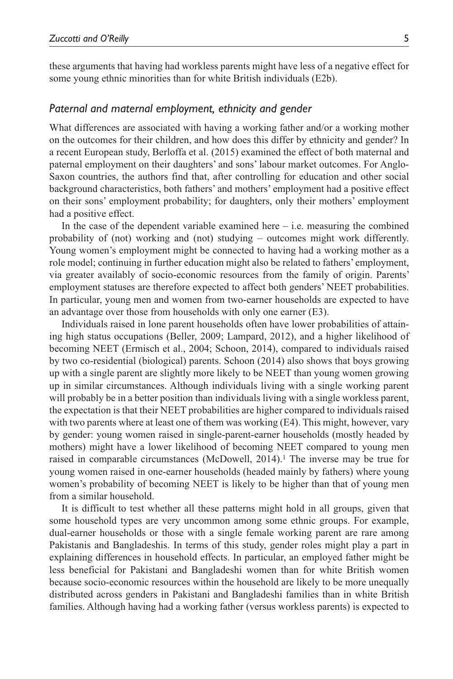these arguments that having had workless parents might have less of a negative effect for some young ethnic minorities than for white British individuals (E2b).

#### *Paternal and maternal employment, ethnicity and gender*

What differences are associated with having a working father and/or a working mother on the outcomes for their children, and how does this differ by ethnicity and gender? In a recent European study, Berloffa et al. (2015) examined the effect of both maternal and paternal employment on their daughters' and sons' labour market outcomes. For Anglo-Saxon countries, the authors find that, after controlling for education and other social background characteristics, both fathers' and mothers' employment had a positive effect on their sons' employment probability; for daughters, only their mothers' employment had a positive effect.

In the case of the dependent variable examined here  $-$  i.e. measuring the combined probability of (not) working and (not) studying – outcomes might work differently. Young women's employment might be connected to having had a working mother as a role model; continuing in further education might also be related to fathers' employment, via greater availably of socio-economic resources from the family of origin. Parents' employment statuses are therefore expected to affect both genders' NEET probabilities. In particular, young men and women from two-earner households are expected to have an advantage over those from households with only one earner (E3).

Individuals raised in lone parent households often have lower probabilities of attaining high status occupations (Beller, 2009; Lampard, 2012), and a higher likelihood of becoming NEET (Ermisch et al., 2004; Schoon, 2014), compared to individuals raised by two co-residential (biological) parents. Schoon (2014) also shows that boys growing up with a single parent are slightly more likely to be NEET than young women growing up in similar circumstances. Although individuals living with a single working parent will probably be in a better position than individuals living with a single workless parent, the expectation is that their NEET probabilities are higher compared to individuals raised with two parents where at least one of them was working (E4). This might, however, vary by gender: young women raised in single-parent-earner households (mostly headed by mothers) might have a lower likelihood of becoming NEET compared to young men raised in comparable circumstances (McDowell, 2014).1 The inverse may be true for young women raised in one-earner households (headed mainly by fathers) where young women's probability of becoming NEET is likely to be higher than that of young men from a similar household.

It is difficult to test whether all these patterns might hold in all groups, given that some household types are very uncommon among some ethnic groups. For example, dual-earner households or those with a single female working parent are rare among Pakistanis and Bangladeshis. In terms of this study, gender roles might play a part in explaining differences in household effects. In particular, an employed father might be less beneficial for Pakistani and Bangladeshi women than for white British women because socio-economic resources within the household are likely to be more unequally distributed across genders in Pakistani and Bangladeshi families than in white British families. Although having had a working father (versus workless parents) is expected to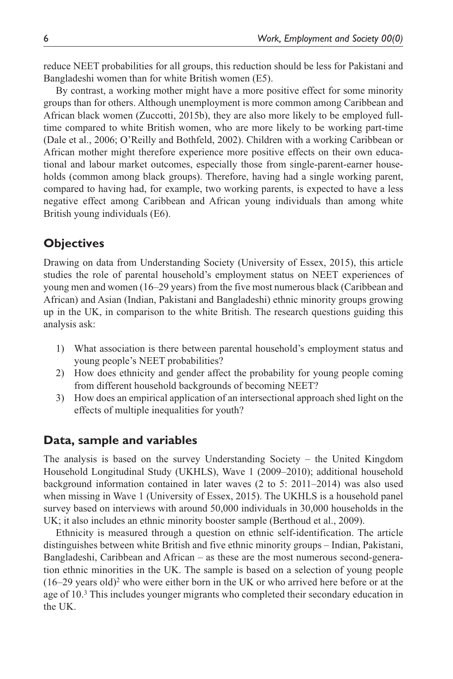reduce NEET probabilities for all groups, this reduction should be less for Pakistani and Bangladeshi women than for white British women (E5).

By contrast, a working mother might have a more positive effect for some minority groups than for others. Although unemployment is more common among Caribbean and African black women (Zuccotti, 2015b), they are also more likely to be employed fulltime compared to white British women, who are more likely to be working part-time (Dale et al., 2006; O'Reilly and Bothfeld, 2002). Children with a working Caribbean or African mother might therefore experience more positive effects on their own educational and labour market outcomes, especially those from single-parent-earner households (common among black groups). Therefore, having had a single working parent, compared to having had, for example, two working parents, is expected to have a less negative effect among Caribbean and African young individuals than among white British young individuals (E6).

## **Objectives**

Drawing on data from Understanding Society (University of Essex, 2015), this article studies the role of parental household's employment status on NEET experiences of young men and women (16–29 years) from the five most numerous black (Caribbean and African) and Asian (Indian, Pakistani and Bangladeshi) ethnic minority groups growing up in the UK, in comparison to the white British. The research questions guiding this analysis ask:

- 1) What association is there between parental household's employment status and young people's NEET probabilities?
- 2) How does ethnicity and gender affect the probability for young people coming from different household backgrounds of becoming NEET?
- 3) How does an empirical application of an intersectional approach shed light on the effects of multiple inequalities for youth?

## **Data, sample and variables**

The analysis is based on the survey Understanding Society – the United Kingdom Household Longitudinal Study (UKHLS), Wave 1 (2009–2010); additional household background information contained in later waves (2 to 5: 2011–2014) was also used when missing in Wave 1 (University of Essex, 2015). The UKHLS is a household panel survey based on interviews with around 50,000 individuals in 30,000 households in the UK; it also includes an ethnic minority booster sample (Berthoud et al., 2009).

Ethnicity is measured through a question on ethnic self-identification. The article distinguishes between white British and five ethnic minority groups – Indian, Pakistani, Bangladeshi, Caribbean and African – as these are the most numerous second-generation ethnic minorities in the UK. The sample is based on a selection of young people  $(16–29 \text{ years old})^2$  who were either born in the UK or who arrived here before or at the age of 10.3 This includes younger migrants who completed their secondary education in the UK.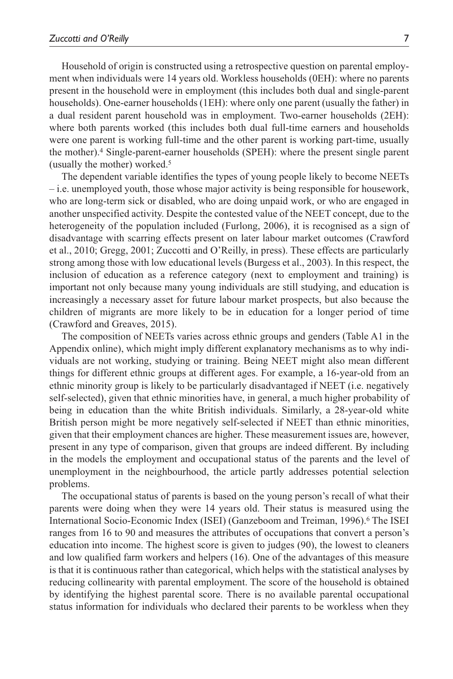Household of origin is constructed using a retrospective question on parental employment when individuals were 14 years old. Workless households (0EH): where no parents present in the household were in employment (this includes both dual and single-parent households). One-earner households (1EH): where only one parent (usually the father) in a dual resident parent household was in employment. Two-earner households (2EH): where both parents worked (this includes both dual full-time earners and households were one parent is working full-time and the other parent is working part-time, usually the mother).4 Single-parent-earner households (SPEH): where the present single parent (usually the mother) worked.5

The dependent variable identifies the types of young people likely to become NEETs – i.e. unemployed youth, those whose major activity is being responsible for housework, who are long-term sick or disabled, who are doing unpaid work, or who are engaged in another unspecified activity. Despite the contested value of the NEET concept, due to the heterogeneity of the population included (Furlong, 2006), it is recognised as a sign of disadvantage with scarring effects present on later labour market outcomes (Crawford et al., 2010; Gregg, 2001; Zuccotti and O'Reilly, in press). These effects are particularly strong among those with low educational levels (Burgess et al., 2003). In this respect, the inclusion of education as a reference category (next to employment and training) is important not only because many young individuals are still studying, and education is increasingly a necessary asset for future labour market prospects, but also because the children of migrants are more likely to be in education for a longer period of time (Crawford and Greaves, 2015).

The composition of NEETs varies across ethnic groups and genders (Table A1 in the Appendix online), which might imply different explanatory mechanisms as to why individuals are not working, studying or training. Being NEET might also mean different things for different ethnic groups at different ages. For example, a 16-year-old from an ethnic minority group is likely to be particularly disadvantaged if NEET (i.e. negatively self-selected), given that ethnic minorities have, in general, a much higher probability of being in education than the white British individuals. Similarly, a 28-year-old white British person might be more negatively self-selected if NEET than ethnic minorities, given that their employment chances are higher. These measurement issues are, however, present in any type of comparison, given that groups are indeed different. By including in the models the employment and occupational status of the parents and the level of unemployment in the neighbourhood, the article partly addresses potential selection problems.

The occupational status of parents is based on the young person's recall of what their parents were doing when they were 14 years old. Their status is measured using the International Socio-Economic Index (ISEI) (Ganzeboom and Treiman, 1996).6 The ISEI ranges from 16 to 90 and measures the attributes of occupations that convert a person's education into income. The highest score is given to judges (90), the lowest to cleaners and low qualified farm workers and helpers (16). One of the advantages of this measure is that it is continuous rather than categorical, which helps with the statistical analyses by reducing collinearity with parental employment. The score of the household is obtained by identifying the highest parental score. There is no available parental occupational status information for individuals who declared their parents to be workless when they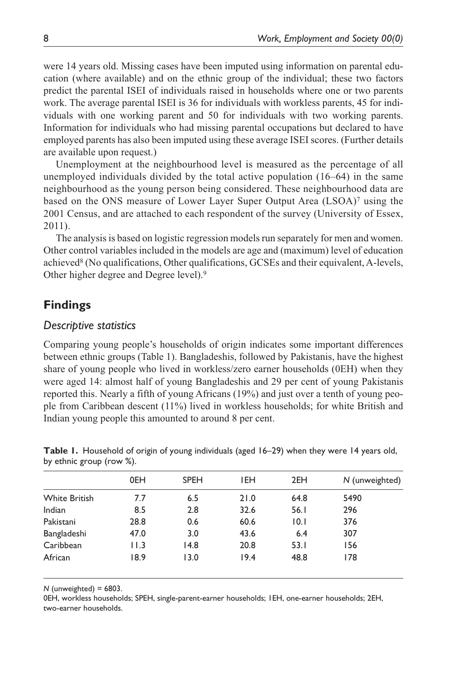were 14 years old. Missing cases have been imputed using information on parental education (where available) and on the ethnic group of the individual; these two factors predict the parental ISEI of individuals raised in households where one or two parents work. The average parental ISEI is 36 for individuals with workless parents, 45 for individuals with one working parent and 50 for individuals with two working parents. Information for individuals who had missing parental occupations but declared to have employed parents has also been imputed using these average ISEI scores. (Further details are available upon request.)

Unemployment at the neighbourhood level is measured as the percentage of all unemployed individuals divided by the total active population (16–64) in the same neighbourhood as the young person being considered. These neighbourhood data are based on the ONS measure of Lower Layer Super Output Area (LSOA)<sup>7</sup> using the 2001 Census, and are attached to each respondent of the survey (University of Essex, 2011).

The analysis is based on logistic regression models run separately for men and women. Other control variables included in the models are age and (maximum) level of education achieved8 (No qualifications, Other qualifications, GCSEs and their equivalent, A-levels, Other higher degree and Degree level).9

# **Findings**

## *Descriptive statistics*

Comparing young people's households of origin indicates some important differences between ethnic groups (Table 1). Bangladeshis, followed by Pakistanis, have the highest share of young people who lived in workless/zero earner households (0EH) when they were aged 14: almost half of young Bangladeshis and 29 per cent of young Pakistanis reported this. Nearly a fifth of young Africans (19%) and just over a tenth of young people from Caribbean descent (11%) lived in workless households; for white British and Indian young people this amounted to around 8 per cent.

|                      | 0EH  | <b>SPEH</b> | <b>IEH</b> | 2EH  | N (unweighted) |
|----------------------|------|-------------|------------|------|----------------|
| <b>White British</b> | 7.7  | 6.5         | 21.0       | 64.8 | 5490           |
| Indian               | 8.5  | 2.8         | 32.6       | 56.1 | 296            |
| Pakistani            | 28.8 | 0.6         | 60.6       | 10.1 | 376            |
| Bangladeshi          | 47.0 | 3.0         | 43.6       | 6.4  | 307            |
| Caribbean            | 11.3 | 14.8        | 20.8       | 53.1 | 156            |
| African              | 18.9 | 13.0        | 19.4       | 48.8 | 178            |
|                      |      |             |            |      |                |

**Table 1.** Household of origin of young individuals (aged 16–29) when they were 14 years old, by ethnic group (row %).

*N* (unweighted) = 6803.

0EH, workless households; SPEH, single-parent-earner households; 1EH, one-earner households; 2EH, two-earner households.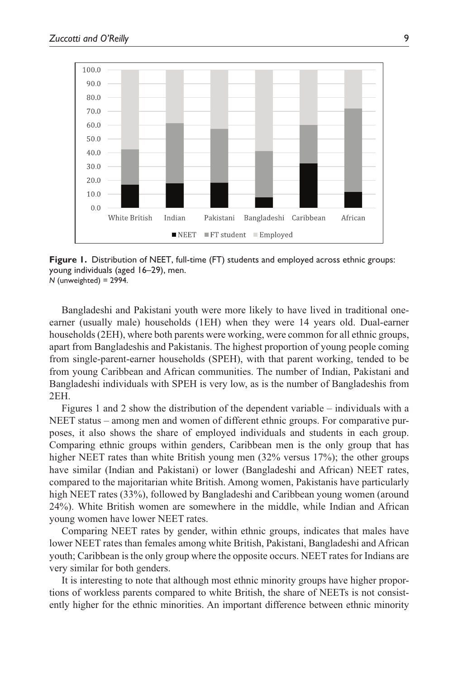

**Figure 1.** Distribution of NEET, full-time (FT) students and employed across ethnic groups: young individuals (aged 16–29), men. *N* (unweighted) = 2994.

Bangladeshi and Pakistani youth were more likely to have lived in traditional oneearner (usually male) households (1EH) when they were 14 years old. Dual-earner households (2EH), where both parents were working, were common for all ethnic groups, apart from Bangladeshis and Pakistanis. The highest proportion of young people coming from single-parent-earner households (SPEH), with that parent working, tended to be from young Caribbean and African communities. The number of Indian, Pakistani and Bangladeshi individuals with SPEH is very low, as is the number of Bangladeshis from 2EH.

Figures 1 and 2 show the distribution of the dependent variable – individuals with a NEET status – among men and women of different ethnic groups. For comparative purposes, it also shows the share of employed individuals and students in each group. Comparing ethnic groups within genders, Caribbean men is the only group that has higher NEET rates than white British young men (32% versus 17%); the other groups have similar (Indian and Pakistani) or lower (Bangladeshi and African) NEET rates, compared to the majoritarian white British. Among women, Pakistanis have particularly high NEET rates (33%), followed by Bangladeshi and Caribbean young women (around 24%). White British women are somewhere in the middle, while Indian and African young women have lower NEET rates.

Comparing NEET rates by gender, within ethnic groups, indicates that males have lower NEET rates than females among white British, Pakistani, Bangladeshi and African youth; Caribbean is the only group where the opposite occurs. NEET rates for Indians are very similar for both genders.

It is interesting to note that although most ethnic minority groups have higher proportions of workless parents compared to white British, the share of NEETs is not consistently higher for the ethnic minorities. An important difference between ethnic minority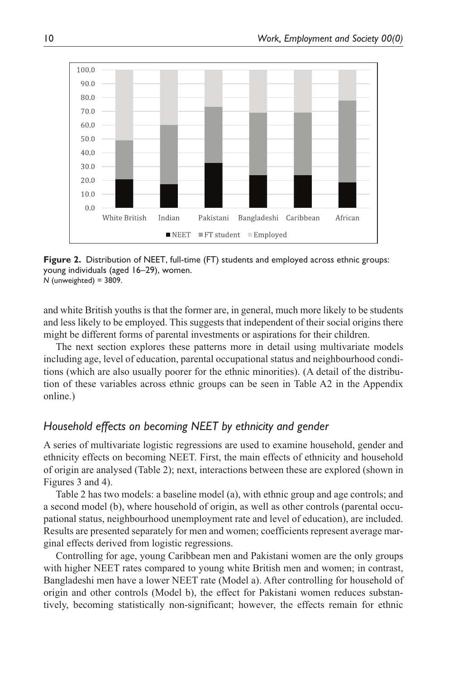

**Figure 2.** Distribution of NEET, full-time (FT) students and employed across ethnic groups: young individuals (aged 16–29), women. *N* (unweighted) = 3809.

and white British youths is that the former are, in general, much more likely to be students and less likely to be employed. This suggests that independent of their social origins there might be different forms of parental investments or aspirations for their children.

The next section explores these patterns more in detail using multivariate models including age, level of education, parental occupational status and neighbourhood conditions (which are also usually poorer for the ethnic minorities). (A detail of the distribution of these variables across ethnic groups can be seen in Table A2 in the Appendix online.)

## *Household effects on becoming NEET by ethnicity and gender*

A series of multivariate logistic regressions are used to examine household, gender and ethnicity effects on becoming NEET. First, the main effects of ethnicity and household of origin are analysed (Table 2); next, interactions between these are explored (shown in Figures 3 and 4).

Table 2 has two models: a baseline model (a), with ethnic group and age controls; and a second model (b), where household of origin, as well as other controls (parental occupational status, neighbourhood unemployment rate and level of education), are included. Results are presented separately for men and women; coefficients represent average marginal effects derived from logistic regressions.

Controlling for age, young Caribbean men and Pakistani women are the only groups with higher NEET rates compared to young white British men and women; in contrast, Bangladeshi men have a lower NEET rate (Model a). After controlling for household of origin and other controls (Model b), the effect for Pakistani women reduces substantively, becoming statistically non-significant; however, the effects remain for ethnic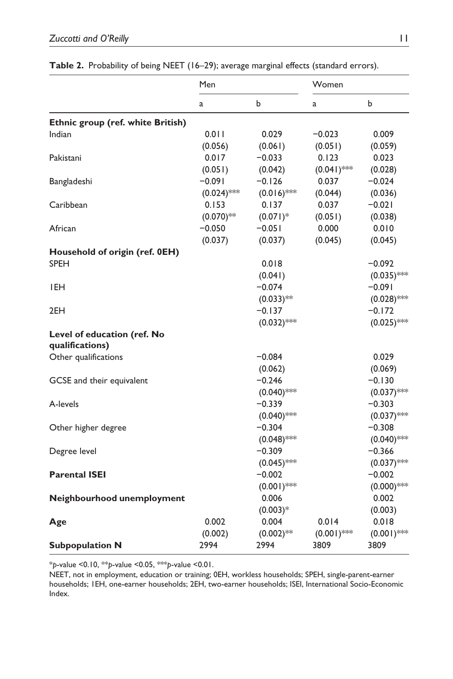|                                   | Men          |               | Women         |               |
|-----------------------------------|--------------|---------------|---------------|---------------|
|                                   | a            | b             | a             | b             |
| Ethnic group (ref. white British) |              |               |               |               |
| Indian                            | 0.011        | 0.029         | $-0.023$      | 0.009         |
|                                   | (0.056)      | (0.061)       | (0.051)       | (0.059)       |
| Pakistani                         | 0.017        | $-0.033$      | 0.123         | 0.023         |
|                                   | (0.051)      | (0.042)       | $(0.041)$ **  | (0.028)       |
| Bangladeshi                       | $-0.091$     | $-0.126$      | 0.037         | $-0.024$      |
|                                   | $(0.024)$ ** | $(0.016)$ **  | (0.044)       | (0.036)       |
| Caribbean                         | 0.153        | 0.137         | 0.037         | $-0.021$      |
|                                   | $(0.070)$ ** | $(0.071)^*$   | (0.051)       | (0.038)       |
| African                           | $-0.050$     | $-0.051$      | 0.000         | 0.010         |
|                                   | (0.037)      | (0.037)       | (0.045)       | (0.045)       |
| Household of origin (ref. 0EH)    |              |               |               |               |
| <b>SPEH</b>                       |              | 0.018         |               | $-0.092$      |
|                                   |              | (0.041)       |               | $(0.035)$ *** |
| IEH                               |              | $-0.074$      |               | -0.091        |
|                                   |              | $(0.033)$ **  |               | $(0.028)$ *** |
| 2EH                               |              | $-0.137$      |               | $-0.172$      |
|                                   |              | $(0.032)$ *** |               | $(0.025)$ **  |
| Level of education (ref. No       |              |               |               |               |
| qualifications)                   |              |               |               |               |
| Other qualifications              |              | $-0.084$      |               | 0.029         |
|                                   |              | (0.062)       |               | (0.069)       |
| GCSE and their equivalent         |              | $-0.246$      |               | $-0.130$      |
|                                   |              | $(0.040)$ *** |               | $(0.037)$ *** |
| A-levels                          |              | $-0.339$      |               | $-0.303$      |
|                                   |              | $(0.040)$ *** |               | $(0.037)$ *** |
| Other higher degree               |              | $-0.304$      |               | $-0.308$      |
|                                   |              | $(0.048)$ **  |               | $(0.040)$ *** |
| Degree level                      |              | $-0.309$      |               | $-0.366$      |
|                                   |              | $(0.045)$ *** |               | $(0.037)$ *** |
| <b>Parental ISEI</b>              |              | $-0.002$      |               | $-0.002$      |
|                                   |              | $(0.001)$ *** |               | $(0.000)$ *** |
| Neighbourhood unemployment        |              | 0.006         |               | 0.002         |
|                                   |              | $(0.003)*$    |               | (0.003)       |
| Age                               | 0.002        | 0.004         | 0.014         | 0.018         |
|                                   | (0.002)      | $(0.002)$ **  | $(0.001)$ *** | $(0.001)$ **  |
| <b>Subpopulation N</b>            | 2994         | 2994          | 3809          | 3809          |
|                                   |              |               |               |               |

#### **Table 2.** Probability of being NEET (16–29); average marginal effects (standard errors).

\**p*-value <0.10, \*\**p*-value <0.05, \*\*\**p*-value <0.01.

NEET, not in employment, education or training; 0EH, workless households; SPEH, single-parent-earner households; 1EH, one-earner households; 2EH, two-earner households; ISEI, International Socio-Economic Index.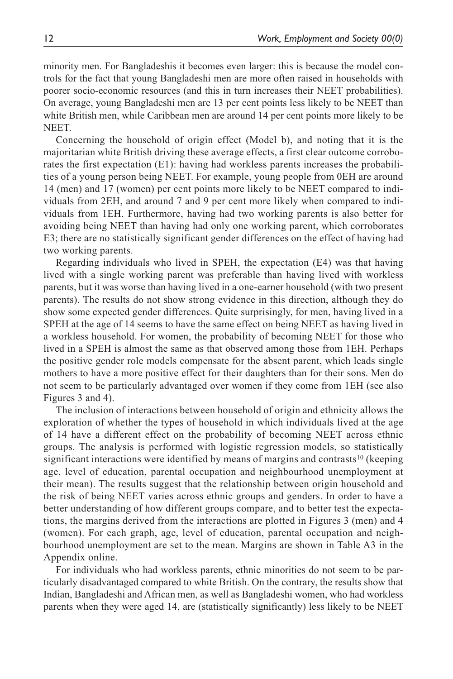minority men. For Bangladeshis it becomes even larger: this is because the model controls for the fact that young Bangladeshi men are more often raised in households with poorer socio-economic resources (and this in turn increases their NEET probabilities). On average, young Bangladeshi men are 13 per cent points less likely to be NEET than white British men, while Caribbean men are around 14 per cent points more likely to be NEET.

Concerning the household of origin effect (Model b), and noting that it is the majoritarian white British driving these average effects, a first clear outcome corroborates the first expectation (E1): having had workless parents increases the probabilities of a young person being NEET. For example, young people from 0EH are around 14 (men) and 17 (women) per cent points more likely to be NEET compared to individuals from 2EH, and around 7 and 9 per cent more likely when compared to individuals from 1EH. Furthermore, having had two working parents is also better for avoiding being NEET than having had only one working parent, which corroborates E3; there are no statistically significant gender differences on the effect of having had two working parents.

Regarding individuals who lived in SPEH, the expectation (E4) was that having lived with a single working parent was preferable than having lived with workless parents, but it was worse than having lived in a one-earner household (with two present parents). The results do not show strong evidence in this direction, although they do show some expected gender differences. Quite surprisingly, for men, having lived in a SPEH at the age of 14 seems to have the same effect on being NEET as having lived in a workless household. For women, the probability of becoming NEET for those who lived in a SPEH is almost the same as that observed among those from 1EH. Perhaps the positive gender role models compensate for the absent parent, which leads single mothers to have a more positive effect for their daughters than for their sons. Men do not seem to be particularly advantaged over women if they come from 1EH (see also Figures 3 and 4).

The inclusion of interactions between household of origin and ethnicity allows the exploration of whether the types of household in which individuals lived at the age of 14 have a different effect on the probability of becoming NEET across ethnic groups. The analysis is performed with logistic regression models, so statistically significant interactions were identified by means of margins and contrasts<sup>10</sup> (keeping age, level of education, parental occupation and neighbourhood unemployment at their mean). The results suggest that the relationship between origin household and the risk of being NEET varies across ethnic groups and genders. In order to have a better understanding of how different groups compare, and to better test the expectations, the margins derived from the interactions are plotted in Figures 3 (men) and 4 (women). For each graph, age, level of education, parental occupation and neighbourhood unemployment are set to the mean. Margins are shown in Table A3 in the Appendix online.

For individuals who had workless parents, ethnic minorities do not seem to be particularly disadvantaged compared to white British. On the contrary, the results show that Indian, Bangladeshi and African men, as well as Bangladeshi women, who had workless parents when they were aged 14, are (statistically significantly) less likely to be NEET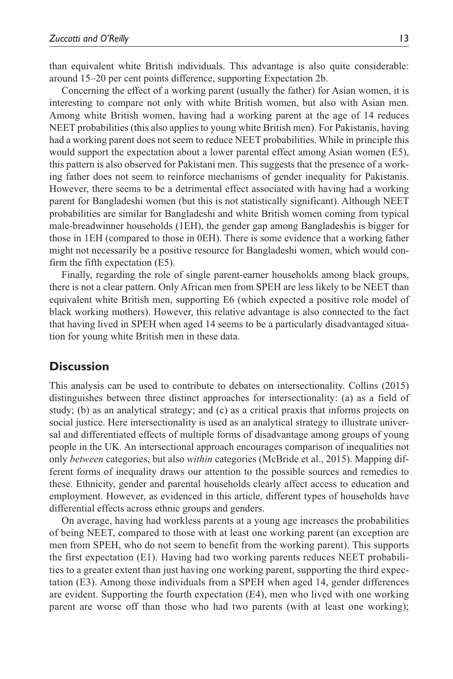than equivalent white British individuals. This advantage is also quite considerable: around 15–20 per cent points difference, supporting Expectation 2b.

Concerning the effect of a working parent (usually the father) for Asian women, it is interesting to compare not only with white British women, but also with Asian men. Among white British women, having had a working parent at the age of 14 reduces NEET probabilities (this also applies to young white British men). For Pakistanis, having had a working parent does not seem to reduce NEET probabilities. While in principle this would support the expectation about a lower parental effect among Asian women (E5), this pattern is also observed for Pakistani men. This suggests that the presence of a working father does not seem to reinforce mechanisms of gender inequality for Pakistanis. However, there seems to be a detrimental effect associated with having had a working parent for Bangladeshi women (but this is not statistically significant). Although NEET probabilities are similar for Bangladeshi and white British women coming from typical male-breadwinner households (1EH), the gender gap among Bangladeshis is bigger for those in 1EH (compared to those in 0EH). There is some evidence that a working father might not necessarily be a positive resource for Bangladeshi women, which would confirm the fifth expectation (E5).

Finally, regarding the role of single parent-earner households among black groups, there is not a clear pattern. Only African men from SPEH are less likely to be NEET than equivalent white British men, supporting E6 (which expected a positive role model of black working mothers). However, this relative advantage is also connected to the fact that having lived in SPEH when aged 14 seems to be a particularly disadvantaged situation for young white British men in these data.

## **Discussion**

This analysis can be used to contribute to debates on intersectionality. Collins (2015) distinguishes between three distinct approaches for intersectionality: (a) as a field of study; (b) as an analytical strategy; and (c) as a critical praxis that informs projects on social justice. Here intersectionality is used as an analytical strategy to illustrate universal and differentiated effects of multiple forms of disadvantage among groups of young people in the UK. An intersectional approach encourages comparison of inequalities not only *between* categories, but also *within* categories (McBride et al., 2015). Mapping different forms of inequality draws our attention to the possible sources and remedies to these. Ethnicity, gender and parental households clearly affect access to education and employment. However, as evidenced in this article, different types of households have differential effects across ethnic groups and genders.

On average, having had workless parents at a young age increases the probabilities of being NEET, compared to those with at least one working parent (an exception are men from SPEH, who do not seem to benefit from the working parent). This supports the first expectation (E1). Having had two working parents reduces NEET probabilities to a greater extent than just having one working parent, supporting the third expectation (E3). Among those individuals from a SPEH when aged 14, gender differences are evident. Supporting the fourth expectation (E4), men who lived with one working parent are worse off than those who had two parents (with at least one working);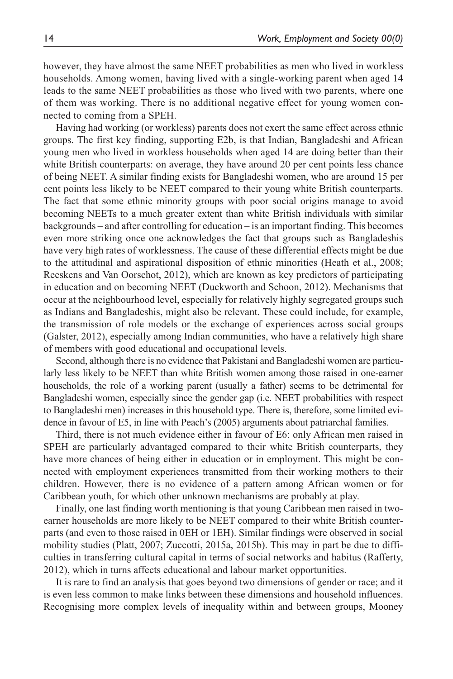however, they have almost the same NEET probabilities as men who lived in workless households. Among women, having lived with a single-working parent when aged 14 leads to the same NEET probabilities as those who lived with two parents, where one of them was working. There is no additional negative effect for young women connected to coming from a SPEH.

Having had working (or workless) parents does not exert the same effect across ethnic groups. The first key finding, supporting E2b, is that Indian, Bangladeshi and African young men who lived in workless households when aged 14 are doing better than their white British counterparts: on average, they have around 20 per cent points less chance of being NEET. A similar finding exists for Bangladeshi women, who are around 15 per cent points less likely to be NEET compared to their young white British counterparts. The fact that some ethnic minority groups with poor social origins manage to avoid becoming NEETs to a much greater extent than white British individuals with similar backgrounds – and after controlling for education – is an important finding. This becomes even more striking once one acknowledges the fact that groups such as Bangladeshis have very high rates of worklessness. The cause of these differential effects might be due to the attitudinal and aspirational disposition of ethnic minorities (Heath et al., 2008; Reeskens and Van Oorschot, 2012), which are known as key predictors of participating in education and on becoming NEET (Duckworth and Schoon, 2012). Mechanisms that occur at the neighbourhood level, especially for relatively highly segregated groups such as Indians and Bangladeshis, might also be relevant. These could include, for example, the transmission of role models or the exchange of experiences across social groups (Galster, 2012), especially among Indian communities, who have a relatively high share of members with good educational and occupational levels.

Second, although there is no evidence that Pakistani and Bangladeshi women are particularly less likely to be NEET than white British women among those raised in one-earner households, the role of a working parent (usually a father) seems to be detrimental for Bangladeshi women, especially since the gender gap (i.e. NEET probabilities with respect to Bangladeshi men) increases in this household type. There is, therefore, some limited evidence in favour of E5, in line with Peach's (2005) arguments about patriarchal families.

Third, there is not much evidence either in favour of E6: only African men raised in SPEH are particularly advantaged compared to their white British counterparts, they have more chances of being either in education or in employment. This might be connected with employment experiences transmitted from their working mothers to their children. However, there is no evidence of a pattern among African women or for Caribbean youth, for which other unknown mechanisms are probably at play.

Finally, one last finding worth mentioning is that young Caribbean men raised in twoearner households are more likely to be NEET compared to their white British counterparts (and even to those raised in 0EH or 1EH). Similar findings were observed in social mobility studies (Platt, 2007; Zuccotti, 2015a, 2015b). This may in part be due to difficulties in transferring cultural capital in terms of social networks and habitus (Rafferty, 2012), which in turns affects educational and labour market opportunities.

It is rare to find an analysis that goes beyond two dimensions of gender or race; and it is even less common to make links between these dimensions and household influences. Recognising more complex levels of inequality within and between groups, Mooney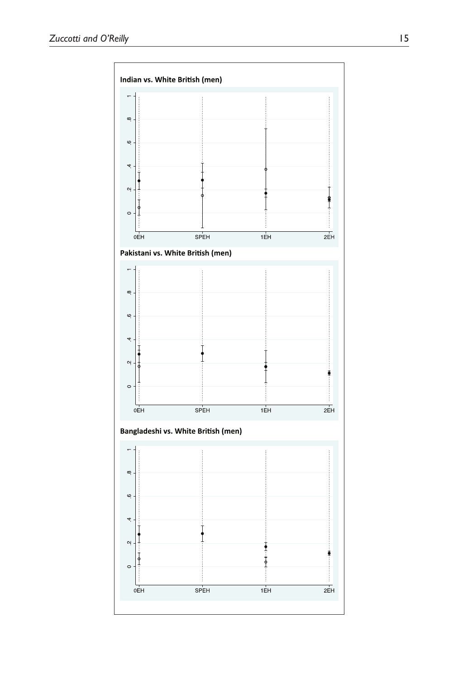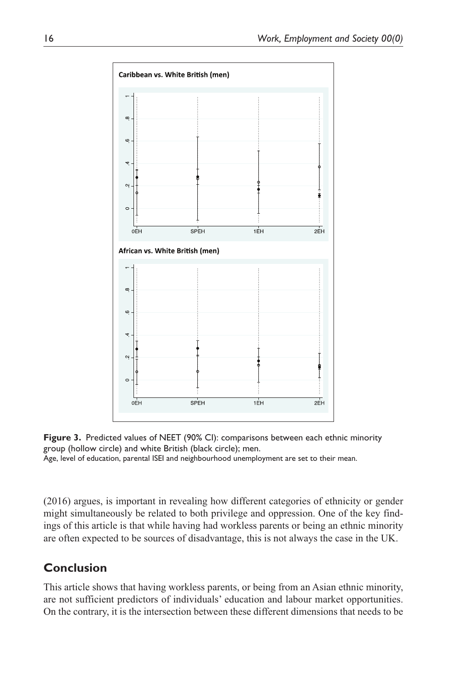



Age, level of education, parental ISEI and neighbourhood unemployment are set to their mean.

(2016) argues, is important in revealing how different categories of ethnicity or gender might simultaneously be related to both privilege and oppression. One of the key findings of this article is that while having had workless parents or being an ethnic minority are often expected to be sources of disadvantage, this is not always the case in the UK.

# **Conclusion**

This article shows that having workless parents, or being from an Asian ethnic minority, are not sufficient predictors of individuals' education and labour market opportunities. On the contrary, it is the intersection between these different dimensions that needs to be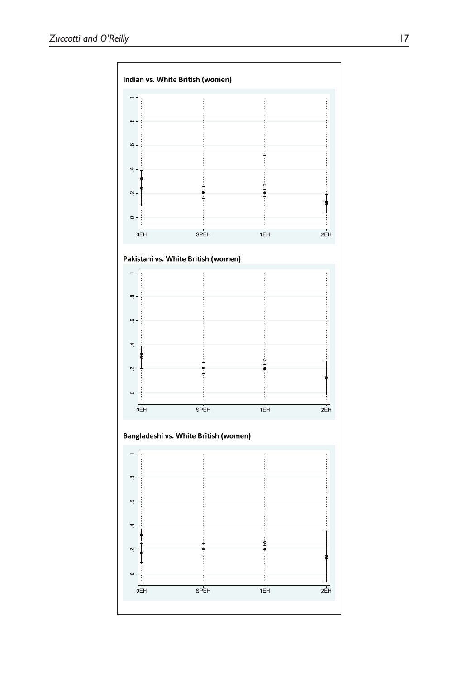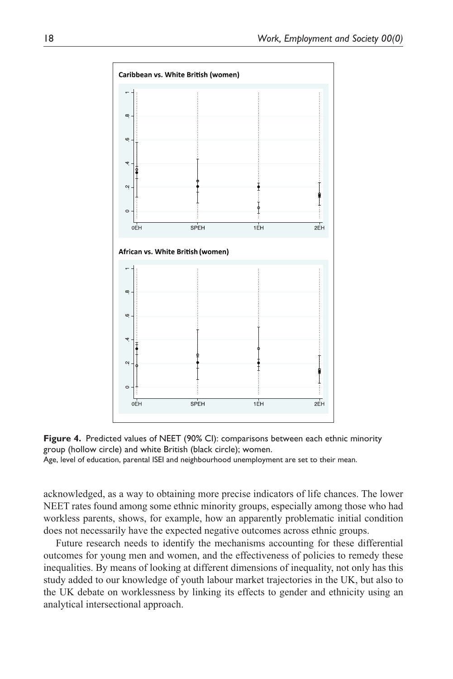



Age, level of education, parental ISEI and neighbourhood unemployment are set to their mean.

acknowledged, as a way to obtaining more precise indicators of life chances. The lower NEET rates found among some ethnic minority groups, especially among those who had workless parents, shows, for example, how an apparently problematic initial condition does not necessarily have the expected negative outcomes across ethnic groups.

Future research needs to identify the mechanisms accounting for these differential outcomes for young men and women, and the effectiveness of policies to remedy these inequalities. By means of looking at different dimensions of inequality, not only has this study added to our knowledge of youth labour market trajectories in the UK, but also to the UK debate on worklessness by linking its effects to gender and ethnicity using an analytical intersectional approach.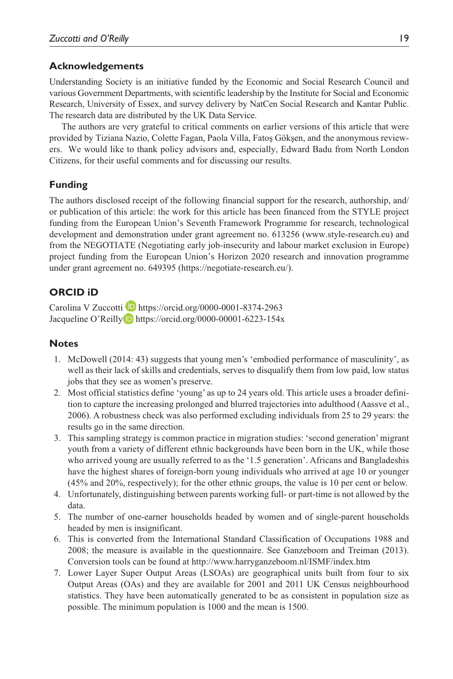### **Acknowledgements**

Understanding Society is an initiative funded by the Economic and Social Research Council and various Government Departments, with scientific leadership by the Institute for Social and Economic Research, University of Essex, and survey delivery by NatCen Social Research and Kantar Public. The research data are distributed by the UK Data Service.

The authors are very grateful to critical comments on earlier versions of this article that were provided by Tiziana Nazio, Colette Fagan, Paola Villa, Fatoş Gökşen, and the anonymous reviewers. We would like to thank policy advisors and, especially, Edward Badu from North London Citizens, for their useful comments and for discussing our results.

### **Funding**

The authors disclosed receipt of the following financial support for the research, authorship, and/ or publication of this article: the work for this article has been financed from the STYLE project funding from the European Union's Seventh Framework Programme for research, technological development and demonstration under grant agreement no. 613256 ([www.style-research.eu\)](www.style-research.eu) and from the NEGOTIATE (Negotiating early job-insecurity and labour market exclusion in Europe) project funding from the European Union's Horizon 2020 research and innovation programme under grant agreement no. 649395 [\(https://negotiate-research.eu/](https://negotiate-research.eu/)).

## **ORCID iD**

Carolina V Zuccotti **<https://orcid.org/0000-0001-8374-2963>** Jacqueline O'Reilly D <https://orcid.org/0000-00001-6223-154x>

#### **Notes**

- 1. McDowell (2014: 43) suggests that young men's 'embodied performance of masculinity', as well as their lack of skills and credentials, serves to disqualify them from low paid, low status jobs that they see as women's preserve.
- 2. Most official statistics define 'young' as up to 24 years old. This article uses a broader definition to capture the increasing prolonged and blurred trajectories into adulthood (Aassve et al., 2006). A robustness check was also performed excluding individuals from 25 to 29 years: the results go in the same direction.
- 3. This sampling strategy is common practice in migration studies: 'second generation' migrant youth from a variety of different ethnic backgrounds have been born in the UK, while those who arrived young are usually referred to as the '1.5 generation'. Africans and Bangladeshis have the highest shares of foreign-born young individuals who arrived at age 10 or younger (45% and 20%, respectively); for the other ethnic groups, the value is 10 per cent or below.
- 4. Unfortunately, distinguishing between parents working full- or part-time is not allowed by the data.
- 5. The number of one-earner households headed by women and of single-parent households headed by men is insignificant.
- 6. This is converted from the International Standard Classification of Occupations 1988 and 2008; the measure is available in the questionnaire. See Ganzeboom and Treiman (2013). Conversion tools can be found at<http://www.harryganzeboom.nl/ISMF/index.htm>
- 7. Lower Layer Super Output Areas (LSOAs) are geographical units built from four to six Output Areas (OAs) and they are available for 2001 and 2011 UK Census neighbourhood statistics. They have been automatically generated to be as consistent in population size as possible. The minimum population is 1000 and the mean is 1500.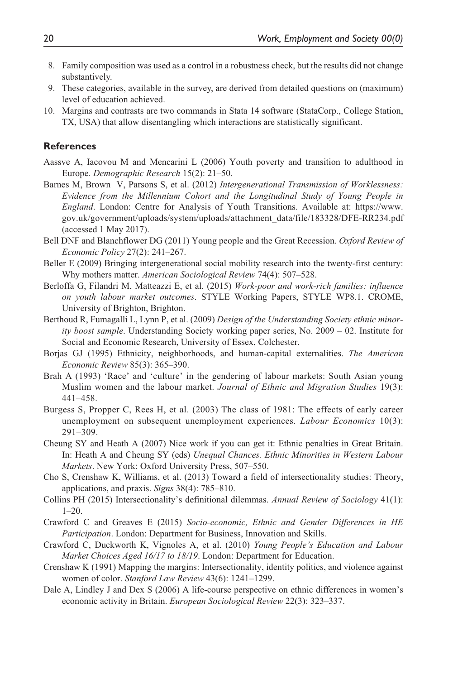- 8. Family composition was used as a control in a robustness check, but the results did not change substantively.
- 9. These categories, available in the survey, are derived from detailed questions on (maximum) level of education achieved.
- 10. Margins and contrasts are two commands in Stata 14 software (StataCorp., College Station, TX, USA) that allow disentangling which interactions are statistically significant.

#### **References**

- Aassve A, Iacovou M and Mencarini L (2006) Youth poverty and transition to adulthood in Europe. *Demographic Research* 15(2): 21–50.
- Barnes M, Brown V, Parsons S, et al. (2012) *Intergenerational Transmission of Worklessness: Evidence from the Millennium Cohort and the Longitudinal Study of Young People in England*. London: Centre for Analysis of Youth Transitions. Available at: [https://www.](https://www.gov.uk/government/uploads/system/uploads/attachment_data/file/183328/DFE-RR234.pdf) [gov.uk/government/uploads/system/uploads/attachment\\_data/file/183328/DFE-RR234.pdf](https://www.gov.uk/government/uploads/system/uploads/attachment_data/file/183328/DFE-RR234.pdf) (accessed 1 May 2017).
- Bell DNF and Blanchflower DG (2011) Young people and the Great Recession. *Oxford Review of Economic Policy* 27(2): 241–267.
- Beller E (2009) Bringing intergenerational social mobility research into the twenty-first century: Why mothers matter. *American Sociological Review* 74(4): 507–528.
- Berloffa G, Filandri M, Matteazzi E, et al. (2015) *Work-poor and work-rich families: influence on youth labour market outcomes*. STYLE Working Papers, STYLE WP8.1. CROME, University of Brighton, Brighton.
- Berthoud R, Fumagalli L, Lynn P, et al. (2009) *Design of the Understanding Society ethnic minority boost sample*. Understanding Society working paper series, No. 2009 – 02. Institute for Social and Economic Research, University of Essex, Colchester.
- Borjas GJ (1995) Ethnicity, neighborhoods, and human-capital externalities. *The American Economic Review* 85(3): 365–390.
- Brah A (1993) 'Race' and 'culture' in the gendering of labour markets: South Asian young Muslim women and the labour market. *Journal of Ethnic and Migration Studies* 19(3): 441–458.
- Burgess S, Propper C, Rees H, et al. (2003) The class of 1981: The effects of early career unemployment on subsequent unemployment experiences. *Labour Economics* 10(3): 291–309.
- Cheung SY and Heath A (2007) Nice work if you can get it: Ethnic penalties in Great Britain. In: Heath A and Cheung SY (eds) *Unequal Chances. Ethnic Minorities in Western Labour Markets*. New York: Oxford University Press, 507–550.
- Cho S, Crenshaw K, Williams, et al. (2013) Toward a field of intersectionality studies: Theory, applications, and praxis. *Signs* 38(4): 785–810.
- Collins PH (2015) Intersectionality's definitional dilemmas. *Annual Review of Sociology* 41(1): 1–20.
- Crawford C and Greaves E (2015) *Socio-economic, Ethnic and Gender Differences in HE Participation*. London: Department for Business, Innovation and Skills.
- Crawford C, Duckworth K, Vignoles A, et al. (2010) *Young People's Education and Labour Market Choices Aged 16/17 to 18/19*. London: Department for Education.
- Crenshaw K (1991) Mapping the margins: Intersectionality, identity politics, and violence against women of color. *Stanford Law Review* 43(6): 1241–1299.
- Dale A, Lindley J and Dex S (2006) A life-course perspective on ethnic differences in women's economic activity in Britain. *European Sociological Review* 22(3): 323–337.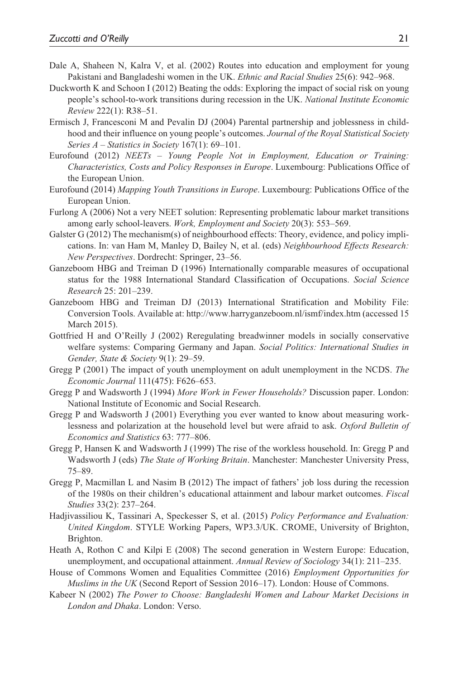- Dale A, Shaheen N, Kalra V, et al. (2002) Routes into education and employment for young Pakistani and Bangladeshi women in the UK. *Ethnic and Racial Studies* 25(6): 942–968.
- Duckworth K and Schoon I (2012) Beating the odds: Exploring the impact of social risk on young people's school-to-work transitions during recession in the UK. *National Institute Economic Review* 222(1): R38–51.
- Ermisch J, Francesconi M and Pevalin DJ (2004) Parental partnership and joblessness in childhood and their influence on young people's outcomes. *Journal of the Royal Statistical Society Series A – Statistics in Society* 167(1): 69–101.
- Eurofound (2012) *NEETs Young People Not in Employment, Education or Training: Characteristics, Costs and Policy Responses in Europe*. Luxembourg: Publications Office of the European Union.
- Eurofound (2014) *Mapping Youth Transitions in Europe*. Luxembourg: Publications Office of the European Union.
- Furlong A (2006) Not a very NEET solution: Representing problematic labour market transitions among early school-leavers. *Work, Employment and Society* 20(3): 553–569.
- Galster G (2012) The mechanism(s) of neighbourhood effects: Theory, evidence, and policy implications. In: van Ham M, Manley D, Bailey N, et al. (eds) *Neighbourhood Effects Research: New Perspectives*. Dordrecht: Springer, 23–56.
- Ganzeboom HBG and Treiman D (1996) Internationally comparable measures of occupational status for the 1988 International Standard Classification of Occupations. *Social Science Research* 25: 201–239.
- Ganzeboom HBG and Treiman DJ (2013) International Stratification and Mobility File: Conversion Tools. Available at:<http://www.harryganzeboom.nl/ismf/index.htm> (accessed 15 March 2015).
- Gottfried H and O'Reilly J (2002) Reregulating breadwinner models in socially conservative welfare systems: Comparing Germany and Japan. *Social Politics: International Studies in Gender, State & Society* 9(1): 29–59.
- Gregg P (2001) The impact of youth unemployment on adult unemployment in the NCDS. *The Economic Journal* 111(475): F626–653.
- Gregg P and Wadsworth J (1994) *More Work in Fewer Households?* Discussion paper. London: National Institute of Economic and Social Research.
- Gregg P and Wadsworth J (2001) Everything you ever wanted to know about measuring worklessness and polarization at the household level but were afraid to ask. *Oxford Bulletin of Economics and Statistics* 63: 777–806.
- Gregg P, Hansen K and Wadsworth J (1999) The rise of the workless household. In: Gregg P and Wadsworth J (eds) *The State of Working Britain*. Manchester: Manchester University Press, 75–89.
- Gregg P, Macmillan L and Nasim B (2012) The impact of fathers' job loss during the recession of the 1980s on their children's educational attainment and labour market outcomes. *Fiscal Studies* 33(2): 237–264.
- Hadjivassiliou K, Tassinari A, Speckesser S, et al. (2015) *Policy Performance and Evaluation: United Kingdom*. STYLE Working Papers, WP3.3/UK. CROME, University of Brighton, Brighton.
- Heath A, Rothon C and Kilpi E (2008) The second generation in Western Europe: Education, unemployment, and occupational attainment. *Annual Review of Sociology* 34(1): 211–235.
- House of Commons Women and Equalities Committee (2016) *Employment Opportunities for Muslims in the UK* (Second Report of Session 2016–17). London: House of Commons.
- Kabeer N (2002) *The Power to Choose: Bangladeshi Women and Labour Market Decisions in London and Dhaka*. London: Verso.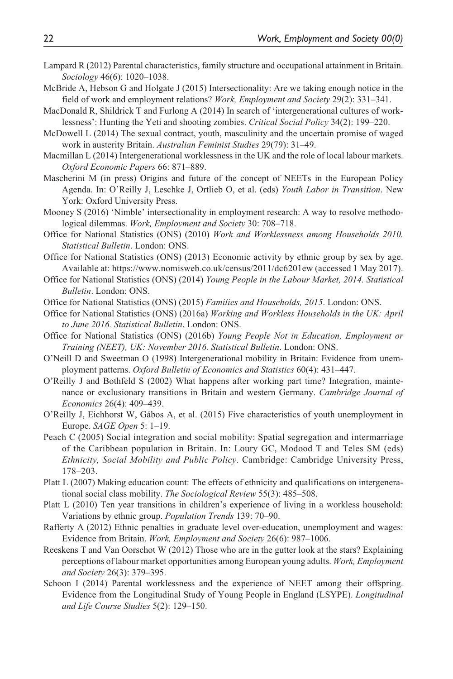- Lampard R (2012) Parental characteristics, family structure and occupational attainment in Britain. *Sociology* 46(6): 1020–1038.
- McBride A, Hebson G and Holgate J (2015) Intersectionality: Are we taking enough notice in the field of work and employment relations? *Work, Employment and Society* 29(2): 331–341.
- MacDonald R, Shildrick T and Furlong A (2014) In search of 'intergenerational cultures of worklessness': Hunting the Yeti and shooting zombies. *Critical Social Policy* 34(2): 199–220.
- McDowell L (2014) The sexual contract, youth, masculinity and the uncertain promise of waged work in austerity Britain. *Australian Feminist Studies* 29(79): 31–49.
- Macmillan L (2014) Intergenerational worklessness in the UK and the role of local labour markets. *Oxford Economic Papers* 66: 871–889.
- Mascherini M (in press) Origins and future of the concept of NEETs in the European Policy Agenda. In: O'Reilly J, Leschke J, Ortlieb O, et al. (eds) *Youth Labor in Transition*. New York: Oxford University Press.
- Mooney S (2016) 'Nimble' intersectionality in employment research: A way to resolve methodological dilemmas. *Work, Employment and Society* 30: 708–718.
- Office for National Statistics (ONS) (2010) *Work and Worklessness among Households 2010. Statistical Bulletin*. London: ONS.
- Office for National Statistics (ONS) (2013) Economic activity by ethnic group by sex by age. Available at:<https://www.nomisweb.co.uk/census/2011/dc6201ew>(accessed 1 May 2017).
- Office for National Statistics (ONS) (2014) *Young People in the Labour Market, 2014. Statistical Bulletin*. London: ONS.
- Office for National Statistics (ONS) (2015) *Families and Households, 2015*. London: ONS.
- Office for National Statistics (ONS) (2016a) *Working and Workless Households in the UK: April to June 2016. Statistical Bulletin*. London: ONS.
- Office for National Statistics (ONS) (2016b) *Young People Not in Education, Employment or Training (NEET), UK: November 2016. Statistical Bulletin*. London: ONS.
- O'Neill D and Sweetman O (1998) Intergenerational mobility in Britain: Evidence from unemployment patterns. *Oxford Bulletin of Economics and Statistics* 60(4): 431–447.
- O'Reilly J and Bothfeld S (2002) What happens after working part time? Integration, maintenance or exclusionary transitions in Britain and western Germany. *Cambridge Journal of Economics* 26(4): 409–439.
- O'Reilly J, Eichhorst W, Gábos A, et al. (2015) Five characteristics of youth unemployment in Europe. *SAGE Open* 5: 1–19.
- Peach C (2005) Social integration and social mobility: Spatial segregation and intermarriage of the Caribbean population in Britain. In: Loury GC, Modood T and Teles SM (eds) *Ethnicity, Social Mobility and Public Policy*. Cambridge: Cambridge University Press, 178–203.
- Platt L (2007) Making education count: The effects of ethnicity and qualifications on intergenerational social class mobility. *The Sociological Review* 55(3): 485–508.
- Platt L (2010) Ten year transitions in children's experience of living in a workless household: Variations by ethnic group. *Population Trends* 139: 70–90.
- Rafferty A (2012) Ethnic penalties in graduate level over-education, unemployment and wages: Evidence from Britain. *Work, Employment and Society* 26(6): 987–1006.
- Reeskens T and Van Oorschot W (2012) Those who are in the gutter look at the stars? Explaining perceptions of labour market opportunities among European young adults. *Work, Employment and Society* 26(3): 379–395.
- Schoon I (2014) Parental worklessness and the experience of NEET among their offspring. Evidence from the Longitudinal Study of Young People in England (LSYPE). *Longitudinal and Life Course Studies* 5(2): 129–150.